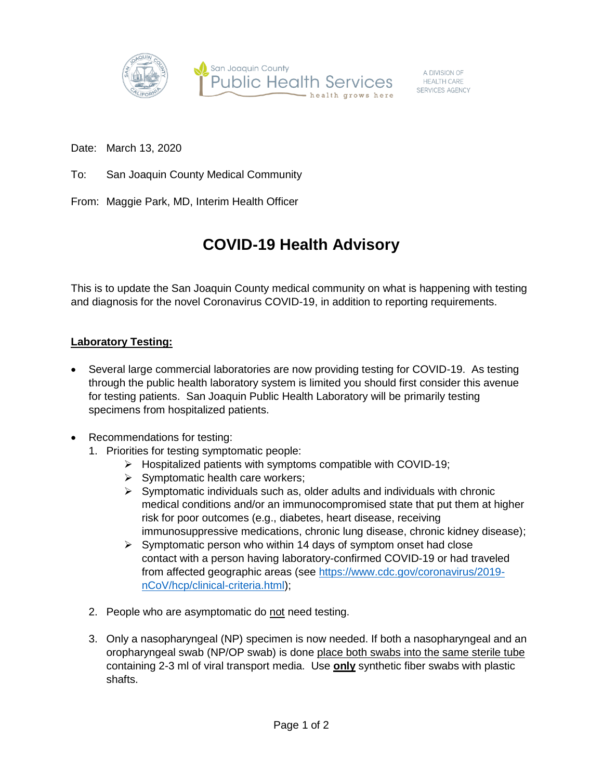

A DIVISION OF<br>HEALTH CARE SERVICES AGENCY

Date: March 13, 2020

To: San Joaquin County Medical Community

From: Maggie Park, MD, Interim Health Officer

## **COVID-19 Health Advisory**

This is to update the San Joaquin County medical community on what is happening with testing and diagnosis for the novel Coronavirus COVID-19, in addition to reporting requirements.

## **Laboratory Testing:**

- Several large commercial laboratories are now providing testing for COVID-19. As testing through the public health laboratory system is limited you should first consider this avenue for testing patients. San Joaquin Public Health Laboratory will be primarily testing specimens from hospitalized patients.
- Recommendations for testing:
	- 1. Priorities for testing symptomatic people:
		- $\triangleright$  Hospitalized patients with symptoms compatible with COVID-19;
		- $\triangleright$  Symptomatic health care workers;
		- $\triangleright$  Symptomatic individuals such as, older adults and individuals with chronic medical conditions and/or an immunocompromised state that put them at higher risk for poor outcomes (e.g., diabetes, heart disease, receiving immunosuppressive medications, chronic lung disease, chronic kidney disease);
		- $\triangleright$  Symptomatic person who within 14 days of symptom onset had close contact with a person having laboratory-confirmed COVID-19 or had traveled from affected geographic areas (see [https://www.cdc.gov/coronavirus/2019](https://www.cdc.gov/coronavirus/2019-nCoV/hcp/clinical-criteria.html) [nCoV/hcp/clinical-criteria.html\)](https://www.cdc.gov/coronavirus/2019-nCoV/hcp/clinical-criteria.html);
	- 2. People who are asymptomatic do not need testing.
	- 3. Only a nasopharyngeal (NP) specimen is now needed. If both a nasopharyngeal and an oropharyngeal swab (NP/OP swab) is done place both swabs into the same sterile tube containing 2-3 ml of viral transport media. Use **only** synthetic fiber swabs with plastic shafts.